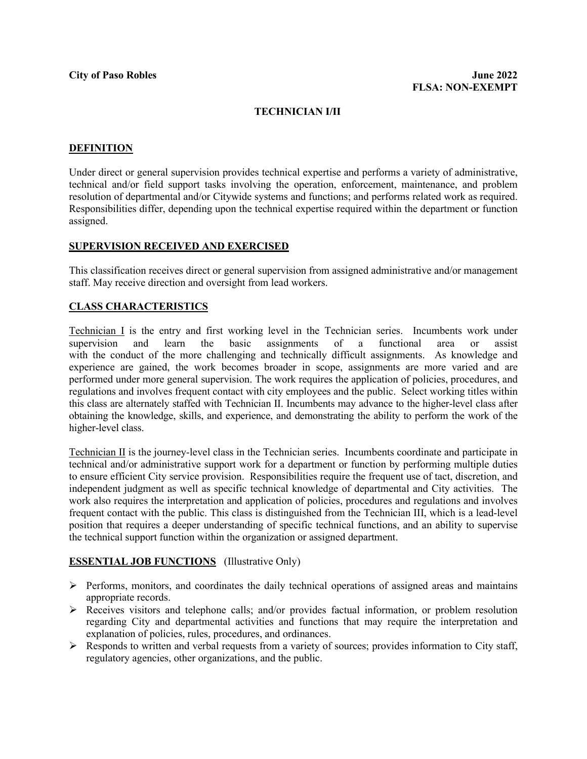## **TECHNICIAN I/II**

#### **DEFINITION**

Under direct or general supervision provides technical expertise and performs a variety of administrative, technical and/or field support tasks involving the operation, enforcement, maintenance, and problem resolution of departmental and/or Citywide systems and functions; and performs related work as required. Responsibilities differ, depending upon the technical expertise required within the department or function assigned.

#### **SUPERVISION RECEIVED AND EXERCISED**

This classification receives direct or general supervision from assigned administrative and/or management staff. May receive direction and oversight from lead workers.

#### **CLASS CHARACTERISTICS**

**Technician I** is the entry and first working level in the Technician series. Incumbents work under supervision and learn the basic assignments of a functional area or assist supervision and learn the basic assignments of a functional area or assist with the conduct of the more challenging and technically difficult assignments. As knowledge and experience are gained, the work becomes broader in scope, assignments are more varied and are performed under more general supervision. The work requires the application of policies, procedures, and regulations and involves frequent contact with city employees and the public. Select working titles within this class are alternately staffed with Technician II. Incumbents may advance to the higher-level class after obtaining the knowledge, skills, and experience, and demonstrating the ability to perform the work of the higher-level class.

Technician II is the journey-level class in the Technician series. Incumbents coordinate and participate in technical and/or administrative support work for a department or function by performing multiple duties to ensure efficient City service provision. Responsibilities require the frequent use of tact, discretion, and independent judgment as well as specific technical knowledge of departmental and City activities. The work also requires the interpretation and application of policies, procedures and regulations and involves frequent contact with the public. This class is distinguished from the Technician III, which is a lead-level position that requires a deeper understanding of specific technical functions, and an ability to supervise the technical support function within the organization or assigned department.

### **ESSENTIAL JOB FUNCTIONS** (Illustrative Only)

- $\triangleright$  Performs, monitors, and coordinates the daily technical operations of assigned areas and maintains appropriate records.
- Receives visitors and telephone calls; and/or provides factual information, or problem resolution regarding City and departmental activities and functions that may require the interpretation and explanation of policies, rules, procedures, and ordinances.
- $\triangleright$  Responds to written and verbal requests from a variety of sources; provides information to City staff, regulatory agencies, other organizations, and the public.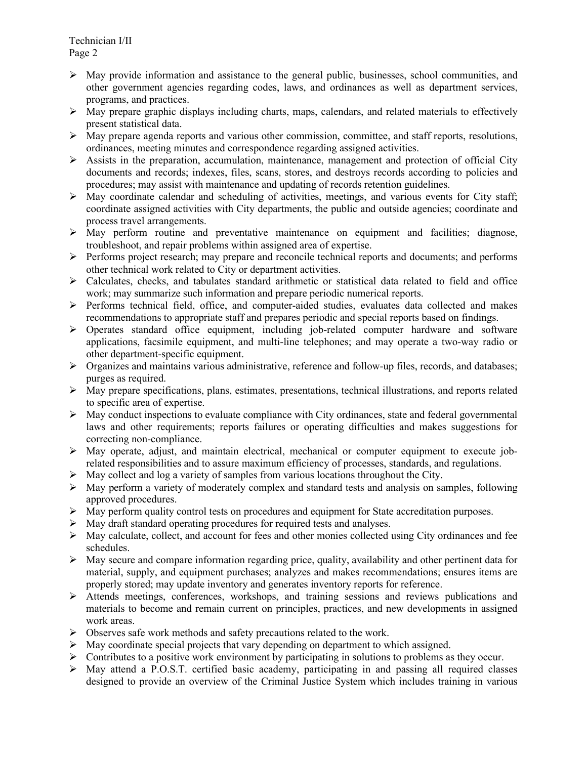- $\triangleright$  May provide information and assistance to the general public, businesses, school communities, and other government agencies regarding codes, laws, and ordinances as well as department services, programs, and practices.
- $\triangleright$  May prepare graphic displays including charts, maps, calendars, and related materials to effectively present statistical data.
- $\triangleright$  May prepare agenda reports and various other commission, committee, and staff reports, resolutions, ordinances, meeting minutes and correspondence regarding assigned activities.
- $\triangleright$  Assists in the preparation, accumulation, maintenance, management and protection of official City documents and records; indexes, files, scans, stores, and destroys records according to policies and procedures; may assist with maintenance and updating of records retention guidelines.
- $\triangleright$  May coordinate calendar and scheduling of activities, meetings, and various events for City staff; coordinate assigned activities with City departments, the public and outside agencies; coordinate and process travel arrangements.
- $\triangleright$  May perform routine and preventative maintenance on equipment and facilities; diagnose, troubleshoot, and repair problems within assigned area of expertise.
- $\triangleright$  Performs project research; may prepare and reconcile technical reports and documents; and performs other technical work related to City or department activities.
- $\triangleright$  Calculates, checks, and tabulates standard arithmetic or statistical data related to field and office work; may summarize such information and prepare periodic numerical reports.
- $\triangleright$  Performs technical field, office, and computer-aided studies, evaluates data collected and makes recommendations to appropriate staff and prepares periodic and special reports based on findings.
- Operates standard office equipment, including job-related computer hardware and software applications, facsimile equipment, and multi-line telephones; and may operate a two-way radio or other department-specific equipment.
- $\triangleright$  Organizes and maintains various administrative, reference and follow-up files, records, and databases; purges as required.
- May prepare specifications, plans, estimates, presentations, technical illustrations, and reports related to specific area of expertise.
- $\triangleright$  May conduct inspections to evaluate compliance with City ordinances, state and federal governmental laws and other requirements; reports failures or operating difficulties and makes suggestions for correcting non-compliance.
- $\triangleright$  May operate, adjust, and maintain electrical, mechanical or computer equipment to execute jobrelated responsibilities and to assure maximum efficiency of processes, standards, and regulations.
- $\triangleright$  May collect and log a variety of samples from various locations throughout the City.
- $\triangleright$  May perform a variety of moderately complex and standard tests and analysis on samples, following approved procedures.
- $\triangleright$  May perform quality control tests on procedures and equipment for State accreditation purposes.
- $\triangleright$  May draft standard operating procedures for required tests and analyses.
- $\triangleright$  May calculate, collect, and account for fees and other monies collected using City ordinances and fee schedules.
- $\triangleright$  May secure and compare information regarding price, quality, availability and other pertinent data for material, supply, and equipment purchases; analyzes and makes recommendations; ensures items are properly stored; may update inventory and generates inventory reports for reference.
- Attends meetings, conferences, workshops, and training sessions and reviews publications and materials to become and remain current on principles, practices, and new developments in assigned work areas.
- Observes safe work methods and safety precautions related to the work.
- $\triangleright$  May coordinate special projects that vary depending on department to which assigned.
- $\triangleright$  Contributes to a positive work environment by participating in solutions to problems as they occur.
- May attend a P.O.S.T. certified basic academy, participating in and passing all required classes designed to provide an overview of the Criminal Justice System which includes training in various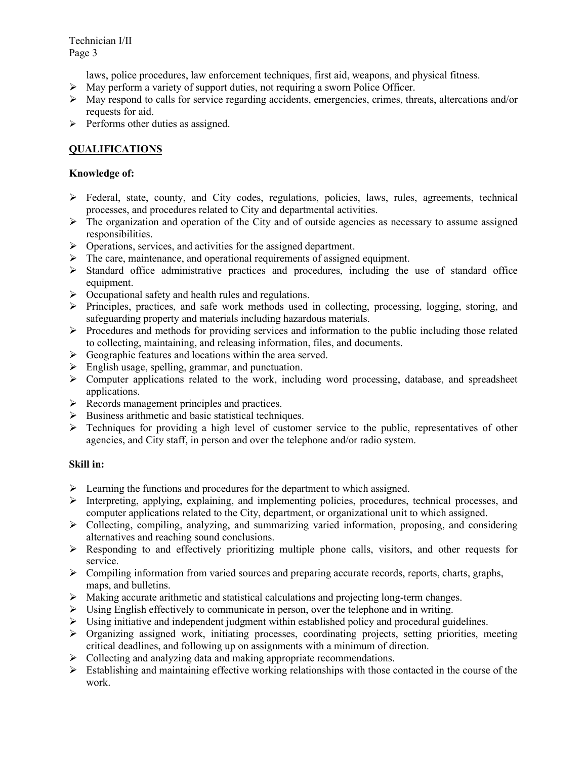laws, police procedures, law enforcement techniques, first aid, weapons, and physical fitness.

- $\triangleright$  May perform a variety of support duties, not requiring a sworn Police Officer.
- $\triangleright$  May respond to calls for service regarding accidents, emergencies, crimes, threats, altercations and/or requests for aid.
- $\triangleright$  Performs other duties as assigned.

# **QUALIFICATIONS**

## **Knowledge of:**

- $\triangleright$  Federal, state, county, and City codes, regulations, policies, laws, rules, agreements, technical processes, and procedures related to City and departmental activities.
- $\triangleright$  The organization and operation of the City and of outside agencies as necessary to assume assigned responsibilities.
- $\triangleright$  Operations, services, and activities for the assigned department.
- $\triangleright$  The care, maintenance, and operational requirements of assigned equipment.
- $\geq$  Standard office administrative practices and procedures, including the use of standard office equipment.
- $\triangleright$  Occupational safety and health rules and regulations.
- $\triangleright$  Principles, practices, and safe work methods used in collecting, processing, logging, storing, and safeguarding property and materials including hazardous materials.
- $\triangleright$  Procedures and methods for providing services and information to the public including those related to collecting, maintaining, and releasing information, files, and documents.
- $\triangleright$  Geographic features and locations within the area served.
- $\triangleright$  English usage, spelling, grammar, and punctuation.
- $\triangleright$  Computer applications related to the work, including word processing, database, and spreadsheet applications.
- $\triangleright$  Records management principles and practices.
- $\triangleright$  Business arithmetic and basic statistical techniques.
- $\triangleright$  Techniques for providing a high level of customer service to the public, representatives of other agencies, and City staff, in person and over the telephone and/or radio system.

# **Skill in:**

- $\triangleright$  Learning the functions and procedures for the department to which assigned.
- $\triangleright$  Interpreting, applying, explaining, and implementing policies, procedures, technical processes, and computer applications related to the City, department, or organizational unit to which assigned.
- $\triangleright$  Collecting, compiling, analyzing, and summarizing varied information, proposing, and considering alternatives and reaching sound conclusions.
- $\triangleright$  Responding to and effectively prioritizing multiple phone calls, visitors, and other requests for service.
- $\triangleright$  Compiling information from varied sources and preparing accurate records, reports, charts, graphs, maps, and bulletins.
- $\triangleright$  Making accurate arithmetic and statistical calculations and projecting long-term changes.
- $\triangleright$  Using English effectively to communicate in person, over the telephone and in writing.
- $\triangleright$  Using initiative and independent judgment within established policy and procedural guidelines.
- $\triangleright$  Organizing assigned work, initiating processes, coordinating projects, setting priorities, meeting critical deadlines, and following up on assignments with a minimum of direction.
- $\triangleright$  Collecting and analyzing data and making appropriate recommendations.
- $\triangleright$  Establishing and maintaining effective working relationships with those contacted in the course of the work.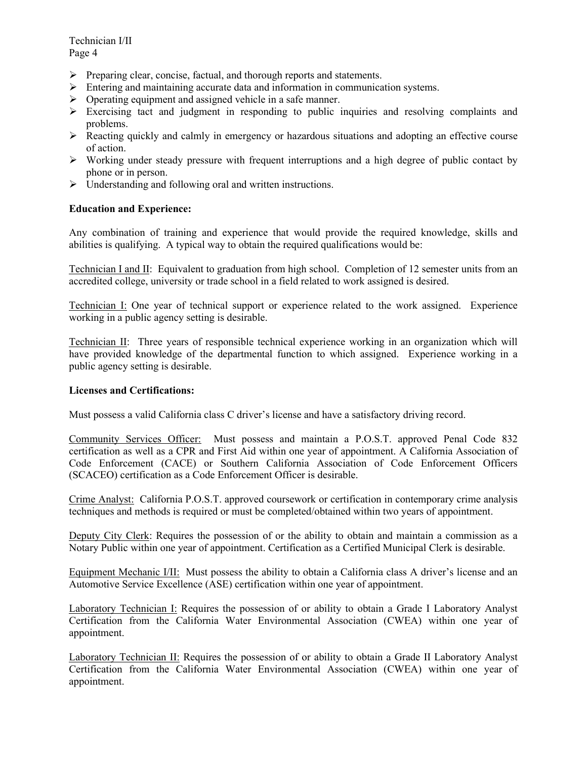Technician I/II Page 4

- $\triangleright$  Preparing clear, concise, factual, and thorough reports and statements.
- $\triangleright$  Entering and maintaining accurate data and information in communication systems.
- $\triangleright$  Operating equipment and assigned vehicle in a safe manner.
- $\triangleright$  Exercising tact and judgment in responding to public inquiries and resolving complaints and problems.
- $\triangleright$  Reacting quickly and calmly in emergency or hazardous situations and adopting an effective course of action.
- $\triangleright$  Working under steady pressure with frequent interruptions and a high degree of public contact by phone or in person.
- $\triangleright$  Understanding and following oral and written instructions.

## **Education and Experience:**

Any combination of training and experience that would provide the required knowledge, skills and abilities is qualifying. A typical way to obtain the required qualifications would be:

Technician I and II: Equivalent to graduation from high school. Completion of 12 semester units from an accredited college, university or trade school in a field related to work assigned is desired.

Technician I: One year of technical support or experience related to the work assigned. Experience working in a public agency setting is desirable.

Technician II: Three years of responsible technical experience working in an organization which will have provided knowledge of the departmental function to which assigned. Experience working in a public agency setting is desirable.

### **Licenses and Certifications:**

Must possess a valid California class C driver's license and have a satisfactory driving record.

Community Services Officer: Must possess and maintain a P.O.S.T. approved Penal Code 832 certification as well as a CPR and First Aid within one year of appointment. A California Association of Code Enforcement (CACE) or Southern California Association of Code Enforcement Officers (SCACEO) certification as a Code Enforcement Officer is desirable.

Crime Analyst: California P.O.S.T. approved coursework or certification in contemporary crime analysis techniques and methods is required or must be completed/obtained within two years of appointment.

Deputy City Clerk: Requires the possession of or the ability to obtain and maintain a commission as a Notary Public within one year of appointment. Certification as a Certified Municipal Clerk is desirable.

Equipment Mechanic I/II: Must possess the ability to obtain a California class A driver's license and an Automotive Service Excellence (ASE) certification within one year of appointment.

Laboratory Technician I: Requires the possession of or ability to obtain a Grade I Laboratory Analyst Certification from the California Water Environmental Association (CWEA) within one year of appointment.

Laboratory Technician II: Requires the possession of or ability to obtain a Grade II Laboratory Analyst Certification from the California Water Environmental Association (CWEA) within one year of appointment.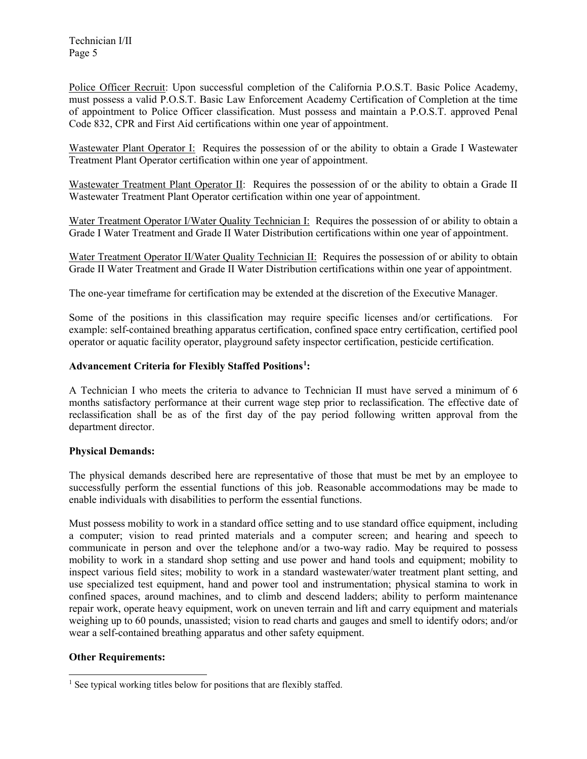Technician I/II Page 5

Police Officer Recruit: Upon successful completion of the California P.O.S.T. Basic Police Academy, must possess a valid P.O.S.T. Basic Law Enforcement Academy Certification of Completion at the time of appointment to Police Officer classification. Must possess and maintain a P.O.S.T. approved Penal Code 832, CPR and First Aid certifications within one year of appointment.

Wastewater Plant Operator I: Requires the possession of or the ability to obtain a Grade I Wastewater Treatment Plant Operator certification within one year of appointment.

Wastewater Treatment Plant Operator II: Requires the possession of or the ability to obtain a Grade II Wastewater Treatment Plant Operator certification within one year of appointment.

Water Treatment Operator I/Water Quality Technician I: Requires the possession of or ability to obtain a Grade I Water Treatment and Grade II Water Distribution certifications within one year of appointment.

Water Treatment Operator II/Water Quality Technician II: Requires the possession of or ability to obtain Grade II Water Treatment and Grade II Water Distribution certifications within one year of appointment.

The one-year timeframe for certification may be extended at the discretion of the Executive Manager.

Some of the positions in this classification may require specific licenses and/or certifications. For example: self-contained breathing apparatus certification, confined space entry certification, certified pool operator or aquatic facility operator, playground safety inspector certification, pesticide certification.

## **Advancement Criteria for Flexibly Staffed Positions[1](#page-4-0) :**

A Technician I who meets the criteria to advance to Technician II must have served a minimum of 6 months satisfactory performance at their current wage step prior to reclassification. The effective date of reclassification shall be as of the first day of the pay period following written approval from the department director.

### **Physical Demands:**

The physical demands described here are representative of those that must be met by an employee to successfully perform the essential functions of this job. Reasonable accommodations may be made to enable individuals with disabilities to perform the essential functions.

Must possess mobility to work in a standard office setting and to use standard office equipment, including a computer; vision to read printed materials and a computer screen; and hearing and speech to communicate in person and over the telephone and/or a two-way radio. May be required to possess mobility to work in a standard shop setting and use power and hand tools and equipment; mobility to inspect various field sites; mobility to work in a standard wastewater/water treatment plant setting, and use specialized test equipment, hand and power tool and instrumentation; physical stamina to work in confined spaces, around machines, and to climb and descend ladders; ability to perform maintenance repair work, operate heavy equipment, work on uneven terrain and lift and carry equipment and materials weighing up to 60 pounds, unassisted; vision to read charts and gauges and smell to identify odors; and/or wear a self-contained breathing apparatus and other safety equipment.

## **Other Requirements:**

<span id="page-4-0"></span><sup>&</sup>lt;sup>1</sup> See typical working titles below for positions that are flexibly staffed.